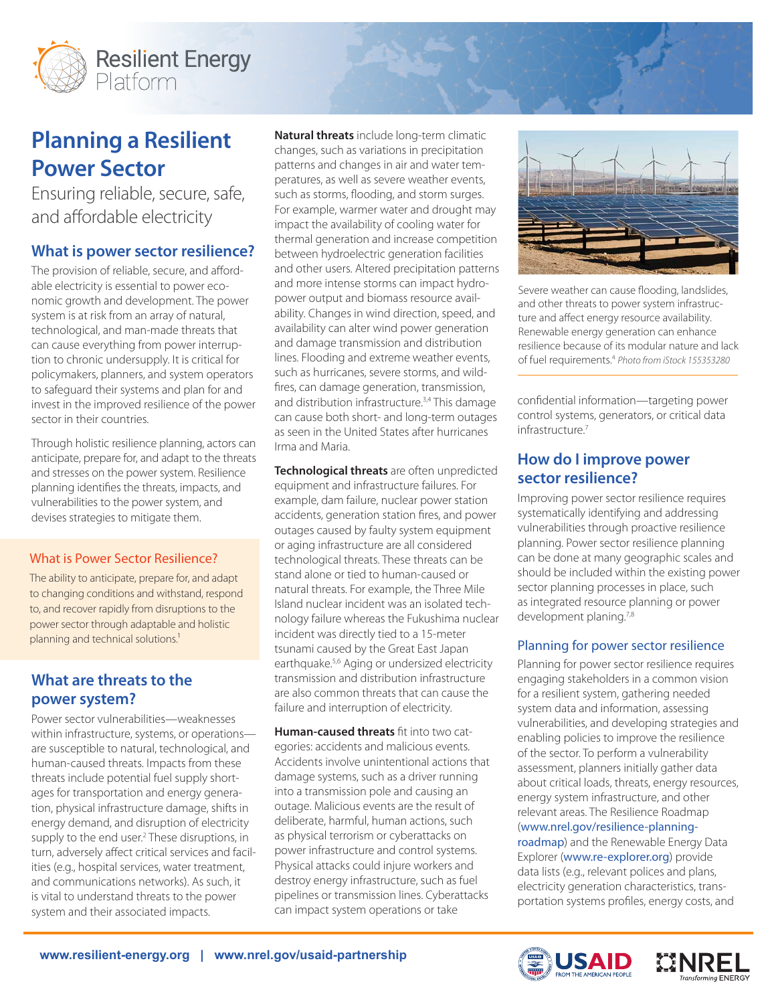

# **Planning a Resilient Power Sector**

Ensuring reliable, secure, safe, and affordable electricity

# **What is power sector resilience?**

The provision of reliable, secure, and affordable electricity is essential to power economic growth and development. The power system is at risk from an array of natural, technological, and man-made threats that can cause everything from power interruption to chronic undersupply. It is critical for policymakers, planners, and system operators to safeguard their systems and plan for and invest in the improved resilience of the power sector in their countries.

Through holistic resilience planning, actors can anticipate, prepare for, and adapt to the threats and stresses on the power system. Resilience planning identifies the threats, impacts, and vulnerabilities to the power system, and devises strategies to mitigate them.

## What is Power Sector Resilience?

The ability to anticipate, prepare for, and adapt to changing conditions and withstand, respond to, and recover rapidly from disruptions to the power sector through adaptable and holistic planning and technical solutions.<sup>1</sup>

# **What are threats to the power system?**

Power sector vulnerabilities—weaknesses within infrastructure, systems, or operations are susceptible to natural, technological, and human-caused threats. Impacts from these threats include potential fuel supply shortages for transportation and energy generation, physical infrastructure damage, shifts in energy demand, and disruption of electricity supply to the end user.<sup>2</sup> These disruptions, in turn, adversely affect critical services and facilities (e.g., hospital services, water treatment, and communications networks). As such, it is vital to understand threats to the power system and their associated impacts.

**Natural threats** include long-term climatic changes, such as variations in precipitation patterns and changes in air and water temperatures, as well as severe weather events, such as storms, flooding, and storm surges. For example, warmer water and drought may impact the availability of cooling water for thermal generation and increase competition between hydroelectric generation facilities and other users. Altered precipitation patterns and more intense storms can impact hydropower output and biomass resource availability. Changes in wind direction, speed, and availability can alter wind power generation and damage transmission and distribution lines. Flooding and extreme weather events, such as hurricanes, severe storms, and wildfires, can damage generation, transmission, and distribution infrastructure.<sup>3,4</sup> This damage can cause both short- and long-term outages as seen in the United States after hurricanes Irma and Maria.

**Technological threats** are often unpredicted equipment and infrastructure failures. For example, dam failure, nuclear power station accidents, generation station fires, and power outages caused by faulty system equipment or aging infrastructure are all considered technological threats. These threats can be stand alone or tied to human-caused or natural threats. For example, the Three Mile Island nuclear incident was an isolated technology failure whereas the Fukushima nuclear incident was directly tied to a 15-meter tsunami caused by the Great East Japan earthquake.5,6 Aging or undersized electricity transmission and distribution infrastructure are also common threats that can cause the failure and interruption of electricity.

**Human-caused threats** fit into two categories: accidents and malicious events. Accidents involve unintentional actions that damage systems, such as a driver running into a transmission pole and causing an outage. Malicious events are the result of deliberate, harmful, human actions, such as physical terrorism or cyberattacks on power infrastructure and control systems. Physical attacks could injure workers and destroy energy infrastructure, such as fuel pipelines or transmission lines. Cyberattacks can impact system operations or take



Severe weather can cause flooding, landslides, and other threats to power system infrastructure and affect energy resource availability. Renewable energy generation can enhance resilience because of its modular nature and lack of fuel requirements.4 *Photo from iStock 155353280*

confidential information—targeting power control systems, generators, or critical data infrastructure<sup>7</sup>

# **How do I improve power sector resilience?**

Improving power sector resilience requires systematically identifying and addressing vulnerabilities through proactive resilience planning. Power sector resilience planning can be done at many geographic scales and should be included within the existing power sector planning processes in place, such as integrated resource planning or power development planing.<sup>7,8</sup>

## Planning for power sector resilience

Planning for power sector resilience requires engaging stakeholders in a common vision for a resilient system, gathering needed system data and information, assessing vulnerabilities, and developing strategies and enabling policies to improve the resilience of the sector. To perform a vulnerability assessment, planners initially gather data about critical loads, threats, energy resources, energy system infrastructure, and other relevant areas. The Resilience Roadmap ([www.nrel.gov/resilience-planning](http://www.nrel.gov/resilience-planning-roadmap)[roadmap](http://www.nrel.gov/resilience-planning-roadmap)) and the Renewable Energy Data Explorer ([www.re-explorer.org](http://www.re-explorer.org)) provide data lists (e.g., relevant polices and plans, electricity generation characteristics, trans-

portation systems profiles, energy costs, and